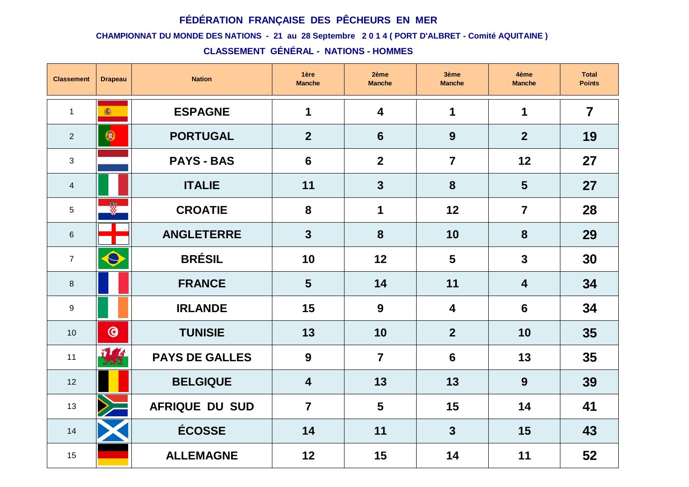**CHAMPIONNAT DU MONDE DES NATIONS - 21 au 28 Septembre 2 0 1 4 ( PORT D'ALBRET - Comité AQUITAINE )**

## **CLASSEMENT GÉNÉRAL - NATIONS - HOMMES**

| <b>Classement</b> | <b>Drapeau</b> | <b>Nation</b>         | 1ère<br><b>Manche</b>   | 2ème<br><b>Manche</b>   | 3ème<br><b>Manche</b>   | 4ème<br><b>Manche</b>   | <b>Total</b><br><b>Points</b> |
|-------------------|----------------|-----------------------|-------------------------|-------------------------|-------------------------|-------------------------|-------------------------------|
| $\mathbf{1}$      | <b>高</b>       | <b>ESPAGNE</b>        | $\mathbf 1$             | $\overline{\mathbf{4}}$ | $\mathbf 1$             | $\mathbf 1$             | $\overline{7}$                |
| $\overline{2}$    | 0              | <b>PORTUGAL</b>       | 2 <sup>2</sup>          | $6\phantom{1}$          | 9                       | 2 <sup>2</sup>          | 19                            |
| 3                 |                | <b>PAYS - BAS</b>     | $6\phantom{1}6$         | $\overline{2}$          | $\overline{7}$          | 12                      | 27                            |
| $\overline{4}$    |                | <b>ITALIE</b>         | 11                      | $\overline{3}$          | 8                       | $5\phantom{1}$          | 27                            |
| 5                 | 圜              | <b>CROATIE</b>        | 8                       | 1                       | 12                      | $\overline{7}$          | 28                            |
| $6\phantom{.}$    |                | <b>ANGLETERRE</b>     | $\mathbf{3}$            | 8                       | 10                      | 8                       | 29                            |
| $\overline{7}$    | $\mathbf{e}$   | <b>BRÉSIL</b>         | 10                      | 12                      | $5\phantom{1}$          | $\overline{\mathbf{3}}$ | 30                            |
| $\,8\,$           |                | <b>FRANCE</b>         | $5\phantom{1}$          | 14                      | 11                      | 4                       | 34                            |
| 9                 |                | <b>IRLANDE</b>        | 15                      | 9                       | $\overline{\mathbf{4}}$ | 6                       | 34                            |
| 10                | $\odot$        | <b>TUNISIE</b>        | 13                      | 10                      | 2 <sup>2</sup>          | 10                      | 35                            |
| 11                | 聚              | <b>PAYS DE GALLES</b> | 9                       | $\overline{7}$          | 6                       | 13                      | 35                            |
| 12                |                | <b>BELGIQUE</b>       | $\overline{\mathbf{4}}$ | 13                      | 13                      | 9                       | 39                            |
| 13                |                | <b>AFRIQUE DU SUD</b> | $\overline{7}$          | $5\phantom{1}$          | 15                      | 14                      | 41                            |
| 14                |                | <b>ÉCOSSE</b>         | 14                      | 11                      | $\mathbf{3}$            | 15                      | 43                            |
| 15                |                | <b>ALLEMAGNE</b>      | 12                      | 15                      | 14                      | 11                      | 52                            |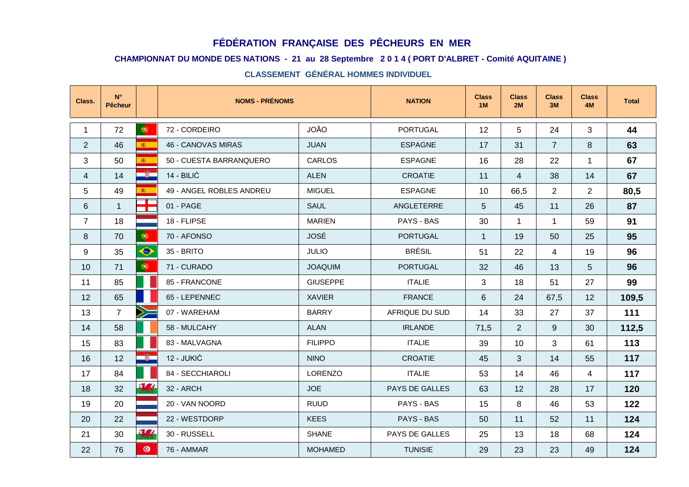#### **CHAMPIONNAT DU MONDE DES NATIONS - 21 au 28 Septembre 2 0 1 4 ( PORT D'ALBRET - Comité AQUITAINE )**

| Class.               | $\mathsf{N}^\circ$<br><b>Pêcheur</b> |           | <b>NOMS - PRÉNOMS</b>    |                 | <b>NATION</b>     | <b>Class</b><br>1M | <b>Class</b><br>2M | <b>Class</b><br>3M | <b>Class</b><br><b>4M</b> | <b>Total</b> |
|----------------------|--------------------------------------|-----------|--------------------------|-----------------|-------------------|--------------------|--------------------|--------------------|---------------------------|--------------|
| $\blacktriangleleft$ | 72                                   | $\bullet$ | 72 - CORDEIRO            | <b>OÃO</b>      | <b>PORTUGAL</b>   | 12                 | 5                  | 24                 | 3                         | 44           |
| 2                    | 46                                   | 廊         | 46 - CANOVAS MIRAS       | <b>JUAN</b>     | <b>ESPAGNE</b>    | 17                 | 31                 | $\overline{7}$     | 8                         | 63           |
| 3                    | 50                                   | 6.        | 50 - CUESTA BARRANQUERO  | <b>CARLOS</b>   | <b>ESPAGNE</b>    | 16                 | 28                 | 22                 | $\mathbf{1}$              | 67           |
| 4                    | 14                                   | 8         | 14 - BILIĊ               | <b>ALEN</b>     | <b>CROATIE</b>    | 11                 | $\overline{4}$     | 38                 | 14                        | 67           |
| 5                    | 49                                   | 6         | 49 - ANGEL ROBLES ANDREU | <b>MIGUEL</b>   | <b>ESPAGNE</b>    | 10                 | 66,5               | $\overline{2}$     | $\overline{2}$            | 80,5         |
| 6                    | $\mathbf{1}$                         | - 11<br>┱ | $01 - PAGE$              | <b>SAUL</b>     | <b>ANGLETERRE</b> | 5                  | 45                 | 11                 | 26                        | 87           |
| $\overline{7}$       | 18                                   |           | 18 - FLIPSE              | <b>MARIEN</b>   | PAYS - BAS        | 30                 | $\mathbf{1}$       | $\mathbf{1}$       | 59                        | 91           |
| 8                    | 70                                   | $\bullet$ | 70 - AFONSO              | <b>JOSÉ</b>     | <b>PORTUGAL</b>   | $\mathbf{1}$       | 19                 | 50                 | 25                        | 95           |
| 9                    | 35                                   | $\bullet$ | 35 - BRITO               | <b>JULIO</b>    | <b>BRÉSIL</b>     | 51                 | 22                 | 4                  | 19                        | 96           |
| 10 <sup>1</sup>      | 71                                   | $\bullet$ | 71 - CURADO              | <b>JOAQUIM</b>  | <b>PORTUGAL</b>   | 32                 | 46                 | 13                 | 5                         | 96           |
| 11                   | 85                                   |           | 85 - FRANCONE            | <b>GIUSEPPE</b> | <b>ITALIE</b>     | 3                  | 18                 | 51                 | 27                        | 99           |
| 12 <sup>°</sup>      | 65                                   |           | 65 - LEPENNEC            | <b>XAVIER</b>   | <b>FRANCE</b>     | $6\phantom{1}$     | 24                 | 67,5               | 12                        | 109,5        |
| 13                   | $\overline{7}$                       | >         | 07 - WAREHAM             | <b>BARRY</b>    | AFRIQUE DU SUD    | 14                 | 33                 | 27                 | 37                        | 111          |
| 14                   | 58                                   |           | 58 - MULCAHY             | <b>ALAN</b>     | <b>IRLANDE</b>    | 71,5               | 2                  | 9                  | 30                        | 112,5        |
| 15                   | 83                                   |           | 83 - MALVAGNA            | <b>FILIPPO</b>  | <b>ITALIE</b>     | 39                 | 10                 | 3                  | 61                        | 113          |
| 16                   | 12                                   | -8        | 12 - JUKIĊ               | <b>NINO</b>     | <b>CROATIE</b>    | 45                 | 3                  | 14                 | 55                        | 117          |
| 17                   | 84                                   |           | 84 - SECCHIAROLI         | LORENZO         | <b>ITALIE</b>     | 53                 | 14                 | 46                 | 4                         | 117          |
| 18                   | 32                                   | 源         | 32 - ARCH                | <b>JOE</b>      | PAYS DE GALLES    | 63                 | 12                 | 28                 | 17                        | 120          |
| 19                   | 20                                   |           | 20 - VAN NOORD           | <b>RUUD</b>     | PAYS - BAS        | 15                 | 8                  | 46                 | 53                        | 122          |
| 20                   | 22                                   |           | 22 - WESTDORP            | <b>KEES</b>     | PAYS - BAS        | 50                 | 11                 | 52                 | 11                        | 124          |
| 21                   | 30                                   | 财         | 30 - RUSSELL             | <b>SHANE</b>    | PAYS DE GALLES    | 25                 | 13                 | 18                 | 68                        | 124          |
| 22                   | 76                                   | $\bullet$ | 76 - AMMAR               | <b>MOHAMED</b>  | <b>TUNISIE</b>    | 29                 | 23                 | 23                 | 49                        | 124          |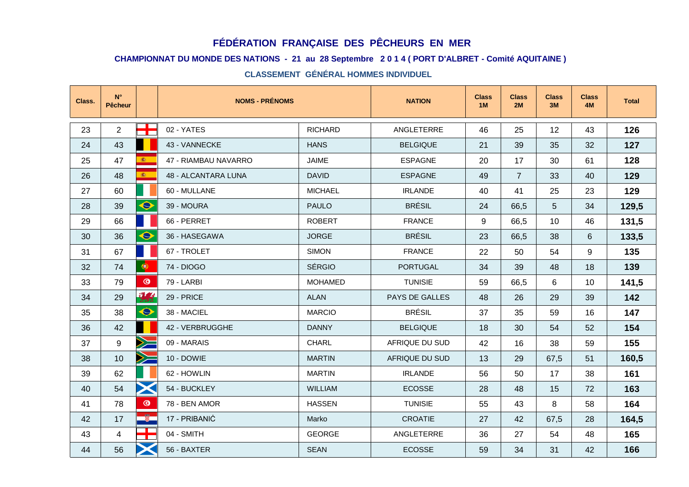#### **CHAMPIONNAT DU MONDE DES NATIONS - 21 au 28 Septembre 2 0 1 4 ( PORT D'ALBRET - Comité AQUITAINE )**

| Class. | $\mathsf{N}^\circ$<br><b>Pêcheur</b> |                | <b>NOMS - PRÉNOMS</b> |                | <b>NATION</b>   | <b>Class</b><br>1M | <b>Class</b><br>2M | <b>Class</b><br>3M | <b>Class</b><br><b>4M</b> | <b>Total</b> |
|--------|--------------------------------------|----------------|-----------------------|----------------|-----------------|--------------------|--------------------|--------------------|---------------------------|--------------|
| 23     | $\overline{2}$                       |                | 02 - YATES            | <b>RICHARD</b> | ANGLETERRE      | 46                 | 25                 | 12                 | 43                        | 126          |
| 24     | 43                                   |                | 43 - VANNECKE         | <b>HANS</b>    | <b>BELGIQUE</b> | 21                 | 39                 | 35                 | 32                        | 127          |
| 25     | 47                                   | 编。             | 47 - RIAMBAU NAVARRO  | <b>JAIME</b>   | <b>ESPAGNE</b>  | 20                 | 17                 | 30                 | 61                        | 128          |
| 26     | 48                                   | 瓣。             | 48 - ALCANTARA LUNA   | <b>DAVID</b>   | <b>ESPAGNE</b>  | 49                 | $\overline{7}$     | 33                 | 40                        | 129          |
| 27     | 60                                   |                | 60 - MULLANE          | <b>MICHAEL</b> | <b>IRLANDE</b>  | 40                 | 41                 | 25                 | 23                        | 129          |
| 28     | 39                                   | $\bullet$      | 39 - MOURA            | <b>PAULO</b>   | <b>BRÉSIL</b>   | 24                 | 66,5               | 5                  | 34                        | 129,5        |
| 29     | 66                                   |                | 66 - PERRET           | <b>ROBERT</b>  | <b>FRANCE</b>   | 9                  | 66,5               | 10                 | 46                        | 131,5        |
| 30     | 36                                   | $\bullet$      | 36 - HASEGAWA         | <b>JORGE</b>   | <b>BRÉSIL</b>   | 23                 | 66,5               | 38                 | 6                         | 133,5        |
| 31     | 67                                   |                | 67 - TROLET           | <b>SIMON</b>   | <b>FRANCE</b>   | 22                 | 50                 | 54                 | 9                         | 135          |
| 32     | 74                                   | $\bullet$      | 74 - DIOGO            | <b>SÉRGIO</b>  | <b>PORTUGAL</b> | 34                 | 39                 | 48                 | 18                        | 139          |
| 33     | 79                                   | $\circledcirc$ | 79 - LARBI            | <b>MOHAMED</b> | <b>TUNISIE</b>  | 59                 | 66,5               | 6                  | 10                        | 141,5        |
| 34     | 29                                   | 大学             | 29 - PRICE            | <b>ALAN</b>    | PAYS DE GALLES  | 48                 | 26                 | 29                 | 39                        | 142          |
| 35     | 38                                   | $\bullet$      | 38 - MACIEL           | <b>MARCIO</b>  | <b>BRÉSIL</b>   | 37                 | 35                 | 59                 | 16                        | 147          |
| 36     | 42                                   |                | 42 - VERBRUGGHE       | <b>DANNY</b>   | <b>BELGIQUE</b> | 18                 | 30                 | 54                 | 52                        | 154          |
| 37     | $\boldsymbol{9}$                     | $\geq$         | 09 - MARAIS           | <b>CHARL</b>   | AFRIQUE DU SUD  | 42                 | 16                 | 38                 | 59                        | 155          |
| 38     | 10                                   | $\gg$          | 10 - DOWIE            | <b>MARTIN</b>  | AFRIQUE DU SUD  | 13                 | 29                 | 67,5               | 51                        | 160,5        |
| 39     | 62                                   |                | 62 - HOWLIN           | <b>MARTIN</b>  | <b>IRLANDE</b>  | 56                 | 50                 | 17                 | 38                        | 161          |
| 40     | 54                                   | $\bm{\times}$  | 54 - BUCKLEY          | WILLIAM        | <b>ECOSSE</b>   | 28                 | 48                 | 15                 | 72                        | 163          |
| 41     | 78                                   | $\circledcirc$ | 78 - BEN AMOR         | <b>HASSEN</b>  | <b>TUNISIE</b>  | 55                 | 43                 | 8                  | 58                        | 164          |
| 42     | 17                                   | $\frac{1}{2}$  | 17 - PRIBANIC         | Marko          | <b>CROATIE</b>  | 27                 | 42                 | 67,5               | 28                        | 164,5        |
| 43     | 4                                    | ┳              | 04 - SMITH            | <b>GEORGE</b>  | ANGLETERRE      | 36                 | 27                 | 54                 | 48                        | 165          |
| 44     | 56                                   |                | 56 - BAXTER           | <b>SEAN</b>    | <b>ECOSSE</b>   | 59                 | 34                 | 31                 | 42                        | 166          |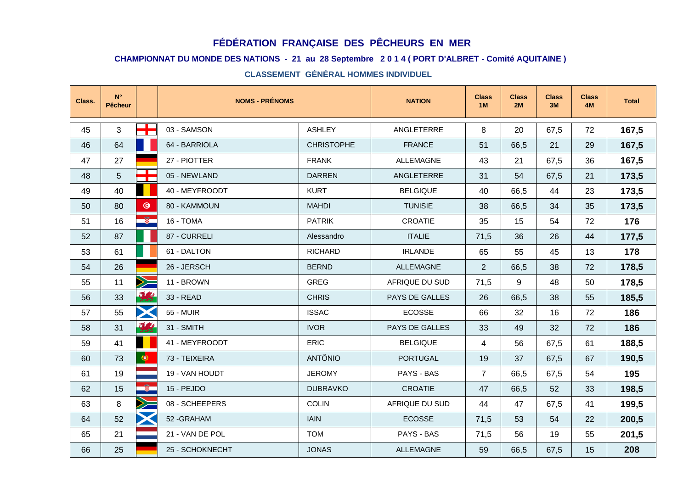#### **CHAMPIONNAT DU MONDE DES NATIONS - 21 au 28 Septembre 2 0 1 4 ( PORT D'ALBRET - Comité AQUITAINE )**

| Class. | $\mathsf{N}^\circ$<br><b>Pêcheur</b> |                | <b>NOMS - PRÉNOMS</b> |                   | <b>NATION</b>    | <b>Class</b><br>1M | <b>Class</b><br>2M | <b>Class</b><br>3M | <b>Class</b><br><b>4M</b> | <b>Total</b> |
|--------|--------------------------------------|----------------|-----------------------|-------------------|------------------|--------------------|--------------------|--------------------|---------------------------|--------------|
| 45     | 3                                    | T              | 03 - SAMSON           | <b>ASHLEY</b>     | ANGLETERRE       | 8                  | 20                 | 67,5               | 72                        | 167,5        |
| 46     | 64                                   |                | 64 - BARRIOLA         | <b>CHRISTOPHE</b> | <b>FRANCE</b>    | 51                 | 66,5               | 21                 | 29                        | 167,5        |
| 47     | 27                                   |                | 27 - PIOTTER          | <b>FRANK</b>      | ALLEMAGNE        | 43                 | 21                 | 67,5               | 36                        | 167,5        |
| 48     | 5                                    | т              | 05 - NEWLAND          | <b>DARREN</b>     | ANGLETERRE       | 31                 | 54                 | 67,5               | 21                        | 173,5        |
| 49     | 40                                   |                | 40 - MEYFROODT        | <b>KURT</b>       | <b>BELGIQUE</b>  | 40                 | 66,5               | 44                 | 23                        | 173,5        |
| 50     | 80                                   | $\circledcirc$ | 80 - KAMMOUN          | <b>MAHDI</b>      | <b>TUNISIE</b>   | 38                 | 66,5               | 34                 | 35                        | 173,5        |
| 51     | 16                                   | ÷.             | 16 - TOMA             | <b>PATRIK</b>     | CROATIE          | 35                 | 15                 | 54                 | 72                        | 176          |
| 52     | 87                                   |                | 87 - CURRELI          | Alessandro        | <b>ITALIE</b>    | 71,5               | 36                 | 26                 | 44                        | 177,5        |
| 53     | 61                                   |                | 61 - DALTON           | <b>RICHARD</b>    | <b>IRLANDE</b>   | 65                 | 55                 | 45                 | 13                        | 178          |
| 54     | 26                                   |                | 26 - JERSCH           | <b>BERND</b>      | <b>ALLEMAGNE</b> | 2                  | 66,5               | 38                 | 72                        | 178,5        |
| 55     | 11                                   | $\geq$         | 11 - BROWN            | <b>GREG</b>       | AFRIQUE DU SUD   | 71,5               | 9                  | 48                 | 50                        | 178,5        |
| 56     | 33                                   | 大学             | 33 - READ             | <b>CHRIS</b>      | PAYS DE GALLES   | 26                 | 66,5               | 38                 | 55                        | 185,5        |
| 57     | 55                                   | X              | 55 - MUIR             | <b>ISSAC</b>      | <b>ECOSSE</b>    | 66                 | 32                 | 16                 | 72                        | 186          |
| 58     | 31                                   | 张              | 31 - SMITH            | <b>IVOR</b>       | PAYS DE GALLES   | 33                 | 49                 | 32                 | 72                        | 186          |
| 59     | 41                                   |                | 41 - MEYFROODT        | ERIC              | <b>BELGIQUE</b>  | $\overline{4}$     | 56                 | 67,5               | 61                        | 188,5        |
| 60     | 73                                   | $\bullet$      | 73 - TEIXEIRA         | <b>ANTŎNIO</b>    | <b>PORTUGAL</b>  | 19                 | 37                 | 67,5               | 67                        | 190,5        |
| 61     | 19                                   |                | 19 - VAN HOUDT        | <b>JEROMY</b>     | PAYS - BAS       | $\overline{7}$     | 66,5               | 67,5               | 54                        | 195          |
| 62     | 15                                   | - 8            | 15 - PEJDO            | <b>DUBRAVKO</b>   | CROATIE          | 47                 | 66,5               | 52                 | 33                        | 198,5        |
| 63     | 8                                    | $\gg$          | 08 - SCHEEPERS        | <b>COLIN</b>      | AFRIQUE DU SUD   | 44                 | 47                 | 67,5               | 41                        | 199,5        |
| 64     | 52                                   | $\bm{\times}$  | 52 - GRAHAM           | <b>IAIN</b>       | <b>ECOSSE</b>    | 71,5               | 53                 | 54                 | 22                        | 200,5        |
| 65     | 21                                   |                | 21 - VAN DE POL       | <b>TOM</b>        | PAYS - BAS       | 71,5               | 56                 | 19                 | 55                        | 201,5        |
| 66     | 25                                   |                | 25 - SCHOKNECHT       | <b>JONAS</b>      | <b>ALLEMAGNE</b> | 59                 | 66,5               | 67,5               | 15                        | 208          |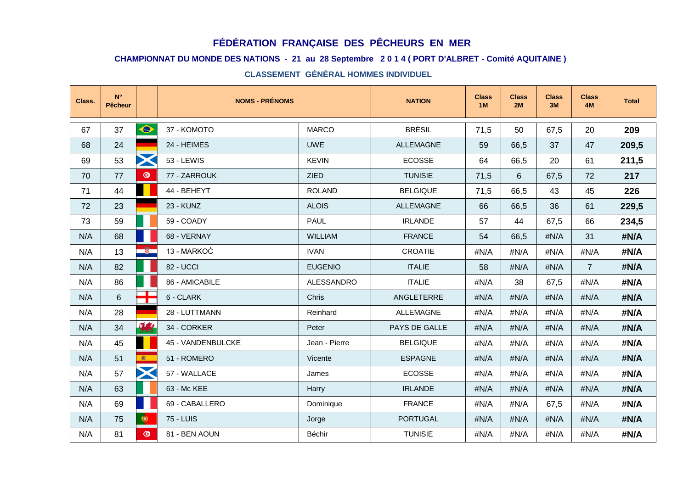#### **CHAMPIONNAT DU MONDE DES NATIONS - 21 au 28 Septembre 2 0 1 4 ( PORT D'ALBRET - Comité AQUITAINE )**

| Class. | $\mathsf{N}^\circ$<br>Pêcheur |                | <b>NOMS - PRÉNOMS</b> |                   | <b>NATION</b>    | <b>Class</b><br>1M | <b>Class</b><br>2M | <b>Class</b><br>3M | <b>Class</b><br><b>4M</b> | <b>Total</b> |
|--------|-------------------------------|----------------|-----------------------|-------------------|------------------|--------------------|--------------------|--------------------|---------------------------|--------------|
| 67     | 37                            | $\bullet$      | 37 - KOMOTO           | <b>MARCO</b>      | <b>BRÉSIL</b>    | 71,5               | 50                 | 67,5               | 20                        | 209          |
| 68     | 24                            |                | 24 - HEIMES           | <b>UWE</b>        | <b>ALLEMAGNE</b> | 59                 | 66,5               | 37                 | 47                        | 209,5        |
| 69     | 53                            | $\bm{\times}$  | 53 - LEWIS            | <b>KEVIN</b>      | <b>ECOSSE</b>    | 64                 | 66,5               | 20                 | 61                        | 211,5        |
| 70     | 77                            | $\circledcirc$ | 77 - ZARROUK          | <b>ZIED</b>       | <b>TUNISIE</b>   | 71,5               | 6                  | 67,5               | 72                        | 217          |
| 71     | 44                            |                | 44 - BEHEYT           | <b>ROLAND</b>     | <b>BELGIQUE</b>  | 71,5               | 66,5               | 43                 | 45                        | 226          |
| 72     | 23                            |                | 23 - KUNZ             | <b>ALOIS</b>      | <b>ALLEMAGNE</b> | 66                 | 66,5               | 36                 | 61                        | 229,5        |
| 73     | 59                            |                | 59 - COADY            | <b>PAUL</b>       | <b>IRLANDE</b>   | 57                 | 44                 | 67,5               | 66                        | 234,5        |
| N/A    | 68                            |                | 68 - VERNAY           | <b>WILLIAM</b>    | <b>FRANCE</b>    | 54                 | 66,5               | #N/A               | 31                        | #N/A         |
| N/A    | 13                            | -0             | 13 - MARKOC           | <b>IVAN</b>       | <b>CROATIE</b>   | #N/A               | #N/A               | #N/A               | #N/A                      | #N/A         |
| N/A    | 82                            |                | 82 - UCCI             | <b>EUGENIO</b>    | <b>ITALIE</b>    | 58                 | #N/A               | #N/A               | $\overline{7}$            | #N/A         |
| N/A    | 86                            |                | 86 - AMICABILE        | <b>ALESSANDRO</b> | <b>ITALIE</b>    | #N/A               | 38                 | 67,5               | #N/A                      | #N/A         |
| N/A    | 6                             | T              | 6 - CLARK             | <b>Chris</b>      | ANGLETERRE       | #N/A               | #N/A               | #N/A               | #N/A                      | #N/A         |
| N/A    | 28                            |                | 28 - LUTTMANN         | Reinhard          | ALLEMAGNE        | #N/A               | #N/A               | #N/A               | #N/A                      | #N/A         |
| N/A    | 34                            | 聚              | 34 - CORKER           | Peter             | PAYS DE GALLE    | #N/A               | #N/A               | #N/A               | #N/A                      | #N/A         |
| N/A    | 45                            |                | 45 - VANDENBULCKE     | Jean - Pierre     | <b>BELGIQUE</b>  | #N/A               | #N/A               | #N/A               | #N/A                      | #N/A         |
| N/A    | 51                            | (编)            | 51 - ROMERO           | Vicente           | <b>ESPAGNE</b>   | #N/A               | #N/A               | #N/A               | #N/A                      | #N/A         |
| N/A    | 57                            | $\bm{\times}$  | 57 - WALLACE          | James             | <b>ECOSSE</b>    | #N/A               | #N/A               | #N/A               | #N/A                      | #N/A         |
| N/A    | 63                            |                | 63 - Mc KEE           | Harry             | <b>IRLANDE</b>   | #N/A               | #N/A               | #N/A               | #N/A                      | #N/A         |
| N/A    | 69                            |                | 69 - CABALLERO        | Dominique         | <b>FRANCE</b>    | #N/A               | #N/A               | 67,5               | #N/A                      | #N/A         |
| N/A    | 75                            | $\bullet$      | <b>75 - LUIS</b>      | Jorge             | <b>PORTUGAL</b>  | #N/A               | #N/A               | #N/A               | #N/A                      | #N/A         |
| N/A    | 81                            | $\bullet$      | 81 - BEN AOUN         | Béchir            | <b>TUNISIE</b>   | #N/A               | #N/A               | #N/A               | #N/A                      | #N/A         |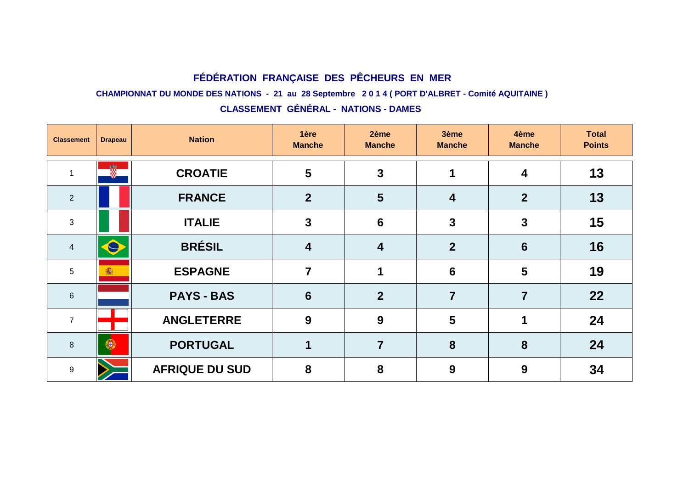**CHAMPIONNAT DU MONDE DES NATIONS - 21 au 28 Septembre 2 0 1 4 ( PORT D'ALBRET - Comité AQUITAINE )**

## **CLASSEMENT GÉNÉRAL - NATIONS - DAMES**

| <b>Classement</b> | <b>Drapeau</b> | <b>Nation</b>         | 1ère<br><b>Manche</b> | 2ème<br><b>Manche</b>   | 3ème<br><b>Manche</b>   | 4ème<br><b>Manche</b>   | <b>Total</b><br><b>Points</b> |
|-------------------|----------------|-----------------------|-----------------------|-------------------------|-------------------------|-------------------------|-------------------------------|
|                   | ŵ.             | <b>CROATIE</b>        | 5                     | $\mathbf{3}$            | 1                       | $\overline{\mathbf{4}}$ | 13                            |
| 2                 |                | <b>FRANCE</b>         | $\overline{2}$        | $5\phantom{1}$          | $\overline{\mathbf{4}}$ | $\overline{2}$          | 13                            |
| 3                 |                | <b>ITALIE</b>         | $\mathbf{3}$          | $6\phantom{1}6$         | $\mathbf{3}$            | $\mathbf{3}$            | 15                            |
| $\overline{4}$    | $\bullet$      | <b>BRÉSIL</b>         | 4                     | $\overline{\mathbf{4}}$ | $\overline{2}$          | 6                       | 16                            |
| $5\phantom{.0}$   | 瓣              | <b>ESPAGNE</b>        | 7                     |                         | $6\phantom{1}6$         | 5                       | 19                            |
| $\,6\,$           |                | <b>PAYS - BAS</b>     | $6\phantom{1}$        | $\overline{2}$          | $\overline{7}$          | $\overline{7}$          | 22                            |
| $\overline{7}$    |                | <b>ANGLETERRE</b>     | 9                     | 9                       | 5                       | 1                       | 24                            |
| 8                 | 0              | <b>PORTUGAL</b>       | $\blacktriangleleft$  | $\overline{7}$          | 8                       | 8                       | 24                            |
| 9                 |                | <b>AFRIQUE DU SUD</b> | 8                     | 8                       | 9                       | 9                       | 34                            |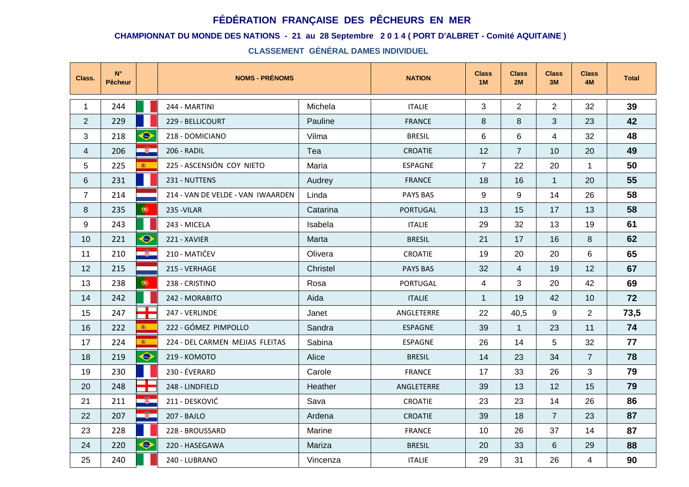### **CHAMPIONNAT DU MONDE DES NATIONS - 21 au 28 Septembre 2 0 1 4 ( PORT D'ALBRET - Comité AQUITAINE )**

| Class.         | $\mathsf{N}^\circ$<br><b>Pêcheur</b> |           | <b>NOMS - PRÉNOMS</b>             |          | <b>NATION</b>   | <b>Class</b><br>1M | <b>Class</b><br>2M | <b>Class</b><br>3M | <b>Class</b><br>4M | <b>Total</b> |
|----------------|--------------------------------------|-----------|-----------------------------------|----------|-----------------|--------------------|--------------------|--------------------|--------------------|--------------|
| $\mathbf{1}$   | 244                                  |           | 244 - MARTINI                     | Michela  | <b>ITALIE</b>   | 3                  | $\overline{2}$     | $\overline{2}$     | 32                 | 39           |
| $\overline{2}$ | 229                                  |           | 229 - BELLICOURT                  | Pauline  | <b>FRANCE</b>   | 8                  | 8                  | 3                  | 23                 | 42           |
| 3              | 218                                  | $\bullet$ | 218 - DOMICIANO                   | Vilma    | <b>BRESIL</b>   | 6                  | $6\phantom{1}$     | $\overline{4}$     | 32                 | 48           |
| $\overline{4}$ | 206                                  | Ø.        | 206 - RADIL                       | Tea      | <b>CROATIE</b>  | 12                 | $\overline{7}$     | 10                 | 20                 | 49           |
| 5              | 225                                  | 6         | 225 - ASCENSIÓN COY NIETO         | Maria    | <b>ESPAGNE</b>  | $\overline{7}$     | 22                 | 20                 | $\mathbf{1}$       | 50           |
| 6              | 231                                  |           | 231 - NUTTENS                     | Audrey   | <b>FRANCE</b>   | 18                 | 16                 | $\mathbf{1}$       | 20                 | 55           |
| $\overline{7}$ | 214                                  |           | 214 - VAN DE VELDE - VAN IWAARDEN | Linda    | PAYS BAS        | 9                  | 9                  | 14                 | 26                 | 58           |
| 8              | 235                                  | $\bullet$ | 235 - VILAR                       | Catarina | PORTUGAL        | 13                 | 15                 | 17                 | 13                 | 58           |
| 9              | 243                                  |           | 243 - MICELA                      | Isabela  | <b>ITALIE</b>   | 29                 | 32                 | 13                 | 19                 | 61           |
| 10             | 221                                  | $\bullet$ | 221 - XAVIER                      | Marta    | <b>BRESIL</b>   | 21                 | 17                 | 16                 | 8                  | 62           |
| 11             | 210                                  | ÷         | 210 - MATIĆEV                     | Olivera  | <b>CROATIE</b>  | 19                 | 20                 | 20                 | 6                  | 65           |
| 12             | 215                                  |           | 215 - VERHAGE                     | Christel | <b>PAYS BAS</b> | 32                 | $\overline{4}$     | 19                 | 12                 | 67           |
| 13             | 238                                  | $\bullet$ | 238 - CRISTINO                    | Rosa     | <b>PORTUGAL</b> | $\overline{4}$     | 3                  | 20                 | 42                 | 69           |
| 14             | 242                                  |           | 242 - MORABITO                    | Aida     | <b>ITALIE</b>   | $\mathbf{1}$       | 19                 | 42                 | 10                 | 72           |
| 15             | 247                                  | ╈         | 247 - VERLINDE                    | Janet    | ANGLETERRE      | 22                 | 40,5               | 9                  | $\overline{2}$     | 73,5         |
| 16             | 222                                  | 廊:        | 222 - GÓMEZ PIMPOLLO              | Sandra   | <b>ESPAGNE</b>  | 39                 | $\mathbf{1}$       | 23                 | 11                 | 74           |
| 17             | 224                                  | 案         | 224 - DEL CARMEN MEJIAS FLEITAS   | Sabina   | ESPAGNE         | 26                 | 14                 | 5                  | 32                 | 77           |
| 18             | 219                                  | $\bullet$ | 219 - KOMOTO                      | Alice    | <b>BRESIL</b>   | 14                 | 23                 | 34                 | $\overline{7}$     | 78           |
| 19             | 230                                  |           | 230 - ÉVERARD                     | Carole   | <b>FRANCE</b>   | 17                 | 33                 | 26                 | 3                  | 79           |
| 20             | 248                                  | ▜▀        | 248 - LINDFIELD                   | Heather  | ANGLETERRE      | 39                 | 13                 | 12                 | 15                 | 79           |
| 21             | 211                                  | ÷         | 211 - DESKOVIĆ                    | Sava     | <b>CROATIE</b>  | 23                 | 23                 | 14                 | 26                 | 86           |
| 22             | 207                                  | $\bullet$ | 207 - BAJLO                       | Ardena   | <b>CROATIE</b>  | 39                 | 18                 | $\overline{7}$     | 23                 | 87           |
| 23             | 228                                  |           | 228 - BROUSSARD                   | Marine   | <b>FRANCE</b>   | 10                 | 26                 | 37                 | 14                 | 87           |
| 24             | 220                                  | $\bullet$ | 220 - HASEGAWA                    | Mariza   | <b>BRESIL</b>   | 20                 | 33                 | 6                  | 29                 | 88           |
| 25             | 240                                  |           | 240 - LUBRANO                     | Vincenza | <b>ITALIE</b>   | 29                 | 31                 | 26                 | $\overline{4}$     | 90           |